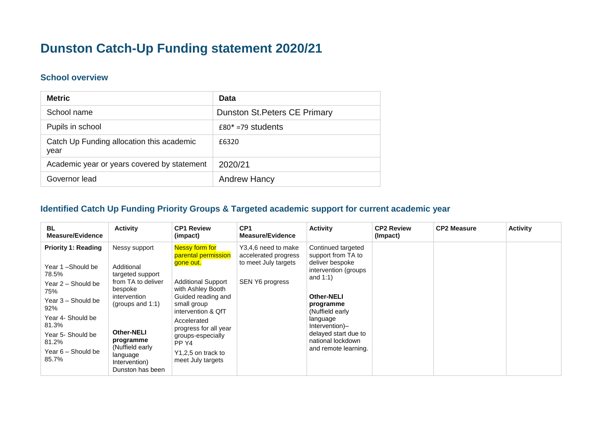## **Dunston Catch-Up Funding statement 2020/21**

## **School overview**

| <b>Metric</b>                                     | Data                                 |
|---------------------------------------------------|--------------------------------------|
| School name                                       | <b>Dunston St. Peters CE Primary</b> |
| Pupils in school                                  | $£80* = 79$ students                 |
| Catch Up Funding allocation this academic<br>year | £6320                                |
| Academic year or years covered by statement       | 2020/21                              |
| Governor lead                                     | <b>Andrew Hancy</b>                  |

## **Identified Catch Up Funding Priority Groups & Targeted academic support for current academic year**

| <b>BL</b><br>Measure/Evidence                                                                                                                                                                                | <b>Activity</b>                                                                                                                                                                                                                | <b>CP1 Review</b><br>(impact)                                                                                                                                                                                                                                                    | CP <sub>1</sub><br><b>Measure/Evidence</b>                                                    | <b>Activity</b>                                                                                                                                                                                                                                       | <b>CP2 Review</b><br>(Impact) | <b>CP2 Measure</b> | <b>Activity</b> |
|--------------------------------------------------------------------------------------------------------------------------------------------------------------------------------------------------------------|--------------------------------------------------------------------------------------------------------------------------------------------------------------------------------------------------------------------------------|----------------------------------------------------------------------------------------------------------------------------------------------------------------------------------------------------------------------------------------------------------------------------------|-----------------------------------------------------------------------------------------------|-------------------------------------------------------------------------------------------------------------------------------------------------------------------------------------------------------------------------------------------------------|-------------------------------|--------------------|-----------------|
| <b>Priority 1: Reading</b><br>Year 1-Should be<br>78.5%<br>Year 2 - Should be<br>75%<br>Year 3 - Should be<br>92%<br>Year 4- Should be<br>81.3%<br>Year 5- Should be<br>81.2%<br>Year 6 - Should be<br>85.7% | Nessy support<br>Additional<br>targeted support<br>from TA to deliver<br>bespoke<br>intervention<br>(groups and $1:1$ )<br><b>Other-NELI</b><br>programme<br>(Nuffield early)<br>language<br>Intervention)<br>Dunston has been | Nessy form for<br>parental permission<br>gone out.<br><b>Additional Support</b><br>with Ashley Booth<br>Guided reading and<br>small group<br>intervention & QfT<br>Accelerated<br>progress for all year<br>groups-especially<br>PP Y4<br>Y1,2,5 on track to<br>meet July targets | Y3,4,6 need to make<br>accelerated progress<br>to meet July targets<br><b>SEN Y6 progress</b> | Continued targeted<br>support from TA to<br>deliver bespoke<br>intervention (groups)<br>and $1:1$ )<br>Other-NELI<br>programme<br>(Nuffield early)<br>language<br>Intervention)-<br>delayed start due to<br>national lockdown<br>and remote learning. |                               |                    |                 |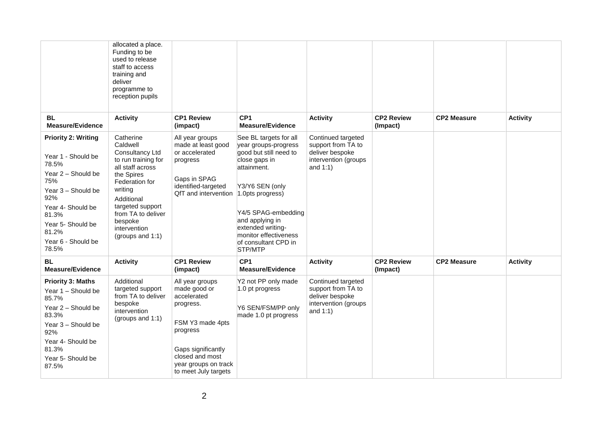| <b>BL</b><br><b>Measure/Evidence</b>                                                                                                                                                                           | allocated a place.<br>Funding to be<br>used to release<br>staff to access<br>training and<br>deliver<br>programme to<br>reception pupils<br><b>Activity</b>                                                                           | <b>CP1 Review</b><br>(impact)                                                                                                                                                        | CP <sub>1</sub><br><b>Measure/Evidence</b>                                                                                                                                                                                                                                 | <b>Activity</b>                                                                                    | <b>CP2 Review</b><br>(Impact) | <b>CP2 Measure</b> | <b>Activity</b> |
|----------------------------------------------------------------------------------------------------------------------------------------------------------------------------------------------------------------|---------------------------------------------------------------------------------------------------------------------------------------------------------------------------------------------------------------------------------------|--------------------------------------------------------------------------------------------------------------------------------------------------------------------------------------|----------------------------------------------------------------------------------------------------------------------------------------------------------------------------------------------------------------------------------------------------------------------------|----------------------------------------------------------------------------------------------------|-------------------------------|--------------------|-----------------|
| <b>Priority 2: Writing</b><br>Year 1 - Should be<br>78.5%<br>Year 2 - Should be<br>75%<br>Year 3 - Should be<br>92%<br>Year 4- Should be<br>81.3%<br>Year 5- Should be<br>81.2%<br>Year 6 - Should be<br>78.5% | Catherine<br>Caldwell<br>Consultancy Ltd<br>to run training for<br>all staff across<br>the Spires<br>Federation for<br>writing<br>Additional<br>targeted support<br>from TA to deliver<br>bespoke<br>intervention<br>(groups and 1:1) | All year groups<br>made at least good<br>or accelerated<br>progress<br>Gaps in SPAG<br>identified-targeted<br>QfT and intervention                                                   | See BL targets for all<br>year groups-progress<br>good but still need to<br>close gaps in<br>attainment.<br>Y3/Y6 SEN (only<br>1.0pts progress)<br>Y4/5 SPAG-embedding<br>and applying in<br>extended writing-<br>monitor effectiveness<br>of consultant CPD in<br>STP/MTP | Continued targeted<br>support from TA to<br>deliver bespoke<br>intervention (groups<br>and $1:1$ ) |                               |                    |                 |
| <b>BL</b><br><b>Measure/Evidence</b>                                                                                                                                                                           | <b>Activity</b>                                                                                                                                                                                                                       | <b>CP1 Review</b><br>(impact)                                                                                                                                                        | CP <sub>1</sub><br><b>Measure/Evidence</b>                                                                                                                                                                                                                                 | <b>Activity</b>                                                                                    | <b>CP2 Review</b><br>(Impact) | <b>CP2 Measure</b> | <b>Activity</b> |
| <b>Priority 3: Maths</b><br>Year 1 - Should be<br>85.7%<br>Year 2 - Should be<br>83.3%<br>Year 3 - Should be<br>92%<br>Year 4- Should be<br>81.3%<br>Year 5- Should be<br>87.5%                                | Additional<br>targeted support<br>from TA to deliver<br>bespoke<br>intervention<br>(groups and 1:1)                                                                                                                                   | All year groups<br>made good or<br>accelerated<br>progress.<br>FSM Y3 made 4pts<br>progress<br>Gaps significantly<br>closed and most<br>year groups on track<br>to meet July targets | Y2 not PP only made<br>1.0 pt progress<br>Y6 SEN/FSM/PP only<br>made 1.0 pt progress                                                                                                                                                                                       | Continued targeted<br>support from TA to<br>deliver bespoke<br>intervention (groups<br>and $1:1$ ) |                               |                    |                 |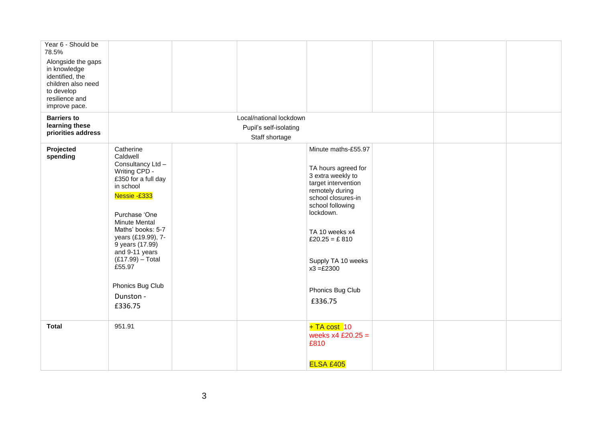| Year 6 - Should be<br>78.5%<br>Alongside the gaps<br>in knowledge<br>identified, the<br>children also need<br>to develop<br>resilience and<br>improve pace. |                                                                                                                                                                                                                                                                                                                      |                                                                     |                                                                                                                                                                                                                                                                          |  |  |
|-------------------------------------------------------------------------------------------------------------------------------------------------------------|----------------------------------------------------------------------------------------------------------------------------------------------------------------------------------------------------------------------------------------------------------------------------------------------------------------------|---------------------------------------------------------------------|--------------------------------------------------------------------------------------------------------------------------------------------------------------------------------------------------------------------------------------------------------------------------|--|--|
| <b>Barriers to</b><br>learning these<br>priorities address                                                                                                  |                                                                                                                                                                                                                                                                                                                      | Local/national lockdown<br>Pupil's self-isolating<br>Staff shortage |                                                                                                                                                                                                                                                                          |  |  |
| Projected<br>spending                                                                                                                                       | Catherine<br>Caldwell<br>Consultancy Ltd -<br>Writing CPD -<br>£350 for a full day<br>in school<br>Nessie -£333<br>Purchase 'One<br><b>Minute Mental</b><br>Maths' books: 5-7<br>years (£19.99), 7-<br>9 years (17.99)<br>and 9-11 years<br>$(E17.99)$ - Total<br>£55.97<br>Phonics Bug Club<br>Dunston -<br>£336.75 |                                                                     | Minute maths-£55.97<br>TA hours agreed for<br>3 extra weekly to<br>target intervention<br>remotely during<br>school closures-in<br>school following<br>lockdown.<br>TA 10 weeks x4<br>£20.25 = £810<br>Supply TA 10 weeks<br>$x3 = £2300$<br>Phonics Bug Club<br>£336.75 |  |  |
| <b>Total</b>                                                                                                                                                | 951.91                                                                                                                                                                                                                                                                                                               |                                                                     | $+TA \, cost \, 10$<br>weeks $x4$ £20.25 =<br>£810<br><b>ELSA £405</b>                                                                                                                                                                                                   |  |  |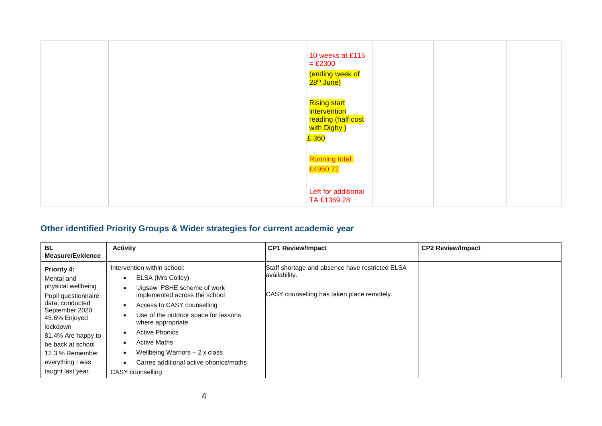|  | 10 weeks at £115<br>$=$ £2300<br>(ending week of<br>28 <sup>th</sup> June)        |  |
|--|-----------------------------------------------------------------------------------|--|
|  | <b>Rising start</b><br>intervention<br>reading (half cost<br>with Digby )<br>£360 |  |
|  | <b>Running total:</b><br>£4950.72                                                 |  |
|  | Left for additional<br>TA £1369.28                                                |  |

## **Other identified Priority Groups & Wider strategies for current academic year**

| <b>BL</b><br><b>Measure/Evidence</b>                                                                                                                                                                                                                    | <b>Activity</b>                                                                                                                                                                                                                                                                                                                                              | <b>CP1 Review/Impact</b>                                                                                       | <b>CP2 Review/Impact</b> |
|---------------------------------------------------------------------------------------------------------------------------------------------------------------------------------------------------------------------------------------------------------|--------------------------------------------------------------------------------------------------------------------------------------------------------------------------------------------------------------------------------------------------------------------------------------------------------------------------------------------------------------|----------------------------------------------------------------------------------------------------------------|--------------------------|
| <b>Priority 4:</b><br>Mental and<br>physical wellbeing<br>Pupil questionnaire<br>data, conducted<br>September 2020:<br>45.6% Enjoyed<br>lockdown<br>81.4% Are happy to<br>be back at school<br>12.3 % Remember<br>everything I was<br>taught last year. | Intervention within school:<br>ELSA (Mrs Colley)<br>'Jigsaw' PSHE scheme of work<br>implemented across the school<br>Access to CASY counselling<br>Use of the outdoor space for lessons<br>where appropriate<br><b>Active Phonics</b><br><b>Active Maths</b><br>Wellbeing Warriors $-2x$ class<br>Carres additional active phonics/maths<br>CASY counselling | Staff shortage and absence have restricted ELSA<br>availability.<br>CASY counselling has taken place remotely. |                          |